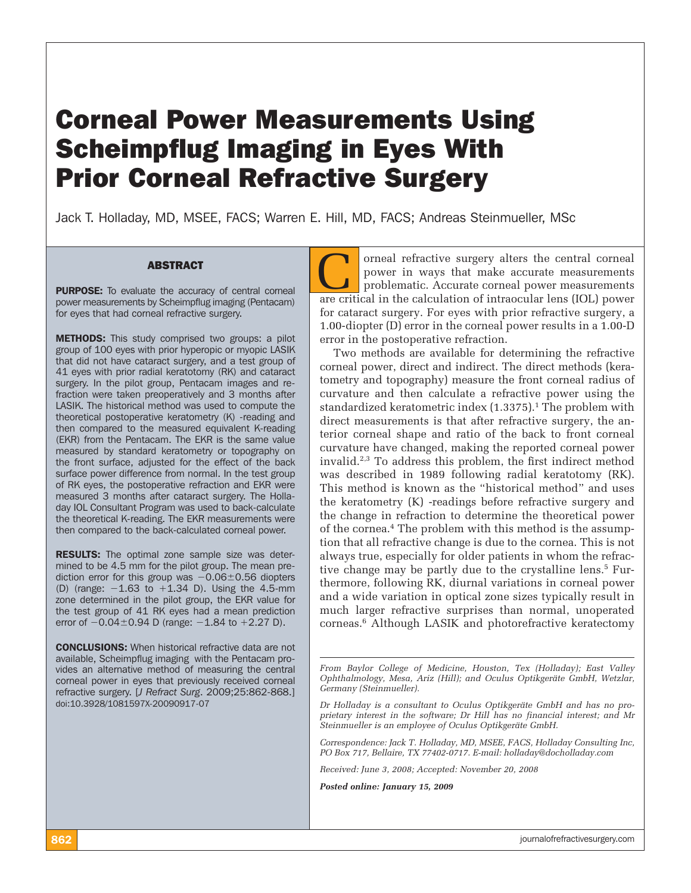# Corneal Power Measurements Using **Scheimpflug Imaging in Eyes With** Prior Corneal Refractive Surgery

Jack T. Holladay, MD, MSEE, FACS; Warren E. Hill, MD, FACS; Andreas Steinmueller, MSc

# ABSTRACT

PURPOSE: To evaluate the accuracy of central corneal power measurements by Scheimpflug imaging (Pentacam) for eyes that had corneal refractive surgery.

**METHODS:** This study comprised two groups: a pilot group of 100 eyes with prior hyperopic or myopic LASIK that did not have cataract surgery, and a test group of 41 eyes with prior radial keratotomy (RK) and cataract surgery. In the pilot group, Pentacam images and refraction were taken preoperatively and 3 months after LASIK. The historical method was used to compute the theoretical postoperative keratometry (K) -reading and then compared to the measured equivalent K-reading (EKR) from the Pentacam. The EKR is the same value measured by standard keratometry or topography on the front surface, adjusted for the effect of the back surface power difference from normal. In the test group of RK eyes, the postoperative refraction and EKR were measured 3 months after cataract surgery. The Holladay IOL Consultant Program was used to back-calculate the theoretical K-reading. The EKR measurements were then compared to the back-calculated corneal power.

**RESULTS:** The optimal zone sample size was determined to be 4.5 mm for the pilot group. The mean prediction error for this group was  $-0.06\pm0.56$  diopters (D) (range:  $-1.63$  to  $+1.34$  D). Using the 4.5-mm zone determined in the pilot group, the EKR value for the test group of 41 RK eyes had a mean prediction error of  $-0.04 \pm 0.94$  D (range:  $-1.84$  to  $+2.27$  D).

CONCLUSIONS: When historical refractive data are not available, Scheimpflug imaging with the Pentacam provides an alternative method of measuring the central corneal power in eyes that previously received corneal refractive surgery. [*J Refract Surg*. 2009;25:862-868.] doi:10.3928/1081597X-20090917-07

orneal refractive surgery alters the central corneal<br>power in ways that make accurate measurements<br>problematic. Accurate corneal power measurements<br>are critical in the calculation of intraocular lens (IOL) power power in ways that make accurate measurements problematic. Accurate corneal power measurements are critical in the calculation of intraocular lens (IOL) power for cataract surgery. For eyes with prior refractive surgery, a 1.00-diopter (D) error in the corneal power results in a 1.00-D error in the postoperative refraction.

Two methods are available for determining the refractive corneal power, direct and indirect. The direct methods (keratometry and topography) measure the front corneal radius of curvature and then calculate a refractive power using the standardized keratometric index  $(1.3375)^{1}$ . The problem with direct measurements is that after refractive surgery, the anterior corneal shape and ratio of the back to front corneal curvature have changed, making the reported corneal power invalid.<sup>2,3</sup> To address this problem, the first indirect method was described in 1989 following radial keratotomy (RK). This method is known as the "historical method" and uses the keratometry (K) -readings before refractive surgery and the change in refraction to determine the theoretical power of the cornea.4 The problem with this method is the assumption that all refractive change is due to the cornea. This is not always true, especially for older patients in whom the refractive change may be partly due to the crystalline lens.<sup>5</sup> Furthermore, following RK, diurnal variations in corneal power and a wide variation in optical zone sizes typically result in much larger refractive surprises than normal, unoperated corneas.6 Although LASIK and photorefractive keratectomy

*From Baylor College of Medicine, Houston, Tex (Holladay); East Valley Ophthalmology, Mesa, Ariz (Hill); and Oculus Optikgeräte GmbH, Wetzlar, Germany (Steinmueller).*

*Dr Holladay is a consultant to Oculus Optikgeräte GmbH and has no proprietary interest in the software; Dr Hill has no financial interest; and Mr Steinmueller is an employee of Oculus Optikgeräte GmbH.*

*Correspondence: Jack T. Holladay, MD, MSEE, FACS, Holladay Consulting Inc, PO Box 717, Bellaire, TX 77402-0717. E-mail: holladay@docholladay.com*

*Received: June 3, 2008; Accepted: November 20, 2008*

*Posted online: January 15, 2009*

**862 intervalse of the contraction of the contraction of the contraction of the contraction of the contraction of the contraction of the contraction of the contraction of the contraction of the contraction of the contrac**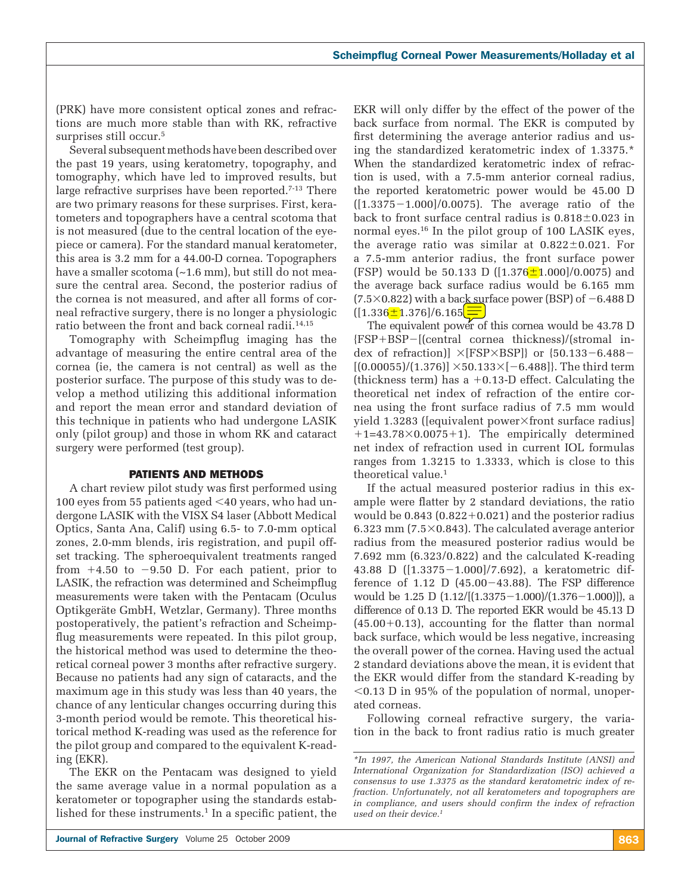(PRK) have more consistent optical zones and refractions are much more stable than with RK, refractive surprises still occur.<sup>5</sup>

Several subsequent methods have been described over the past 19 years, using keratometry, topography, and tomography, which have led to improved results, but large refractive surprises have been reported.<sup>7-13</sup> There are two primary reasons for these surprises. First, keratometers and topographers have a central scotoma that is not measured (due to the central location of the eyepiece or camera). For the standard manual keratometer, this area is 3.2 mm for a 44.00-D cornea. Topographers have a smaller scotoma (~1.6 mm), but still do not measure the central area. Second, the posterior radius of the cornea is not measured, and after all forms of corneal refractive surgery, there is no longer a physiologic ratio between the front and back corneal radii.<sup>14,15</sup>

Tomography with Scheimpflug imaging has the advantage of measuring the entire central area of the cornea (ie, the camera is not central) as well as the posterior surface. The purpose of this study was to develop a method utilizing this additional information and report the mean error and standard deviation of this technique in patients who had undergone LASIK only (pilot group) and those in whom RK and cataract surgery were performed (test group).

# PATIENTS AND METHODS

A chart review pilot study was first performed using 100 eyes from 55 patients aged  $\leq$  40 years, who had undergone LASIK with the VISX S4 laser (Abbott Medical Optics, Santa Ana, Calif) using 6.5- to 7.0-mm optical zones, 2.0-mm blends, iris registration, and pupil offset tracking. The spheroequivalent treatments ranged from  $+4.50$  to  $-9.50$  D. For each patient, prior to LASIK, the refraction was determined and Scheimpflug measurements were taken with the Pentacam (Oculus Optikgeräte GmbH, Wetzlar, Germany). Three months postoperatively, the patient's refraction and Scheimpflug measurements were repeated. In this pilot group, the historical method was used to determine the theoretical corneal power 3 months after refractive surgery. Because no patients had any sign of cataracts, and the maximum age in this study was less than 40 years, the chance of any lenticular changes occurring during this 3-month period would be remote. This theoretical historical method K-reading was used as the reference for the pilot group and compared to the equivalent K-reading (EKR).

The EKR on the Pentacam was designed to yield the same average value in a normal population as a keratometer or topographer using the standards established for these instruments.<sup>1</sup> In a specific patient, the EKR will only differ by the effect of the power of the back surface from normal. The EKR is computed by first determining the average anterior radius and using the standardized keratometric index of 1.3375.\* When the standardized keratometric index of refraction is used, with a 7.5-mm anterior corneal radius, the reported keratometric power would be 45.00 D  $([1.3375-1.000]/0.0075)$ . The average ratio of the back to front surface central radius is  $0.818 \pm 0.023$  in normal eyes.<sup>16</sup> In the pilot group of 100 LASIK eyes, the average ratio was similar at  $0.822 \pm 0.021$ . For a 7.5-mm anterior radius, the front surface power (FSP) would be 50.133 D ([1.376 $\pm$ 1.000]/0.0075) and the average back surface radius would be 6.165 mm  $(7.5\times0.822)$  with a back surface power (BSP) of  $-6.488$  D  $([1.336 \pm 1.376]/6.165$ 

The equivalent power of this cornea would be 43.78 D {FSP+BSP-[(central cornea thickness)/(stromal index of refraction)]  $\times$ [FSP $\times$ BSP]} or {50.133-6.488- $[(0.00055)/(1.376)] \times 50.133\times[-6.488]$ . The third term (thickness term) has a  $+0.13$ -D effect. Calculating the theoretical net index of refraction of the entire cornea using the front surface radius of 7.5 mm would yield  $1.3283$  ([equivalent power $\times$ front surface radius]  $+1=43.78\times0.0075+1$ . The empirically determined net index of refraction used in current IOL formulas ranges from 1.3215 to 1.3333, which is close to this theoretical value.1

If the actual measured posterior radius in this example were flatter by 2 standard deviations, the ratio would be  $0.843$  ( $0.822+0.021$ ) and the posterior radius  $6.323$  mm ( $7.5\times0.843$ ). The calculated average anterior radius from the measured posterior radius would be 7.692 mm (6.323/0.822) and the calculated K-reading 43.88 D ([1.3375-1.000]/7.692), a keratometric difference of  $1.12$  D  $(45.00-43.88)$ . The FSP difference would be  $1.25$  D  $(1.12/[(1.3375-1.000)/(1.376-1.000)]$ , a difference of 0.13 D. The reported EKR would be 45.13 D  $(45.00+0.13)$ , accounting for the flatter than normal back surface, which would be less negative, increasing the overall power of the cornea. Having used the actual 2 standard deviations above the mean, it is evident that the EKR would differ from the standard K-reading by  $<$ 0.13 D in 95% of the population of normal, unoperated corneas.

Following corneal refractive surgery, the variation in the back to front radius ratio is much greater

*<sup>\*</sup>In 1997, the American National Standards Institute (ANSI) and International Organization for Standardization (ISO) achieved a consensus to use 1.3375 as the standard keratometric index of refraction. Unfortunately, not all keratometers and topographers are*  in compliance, and users should confirm the index of refraction *used on their device.1*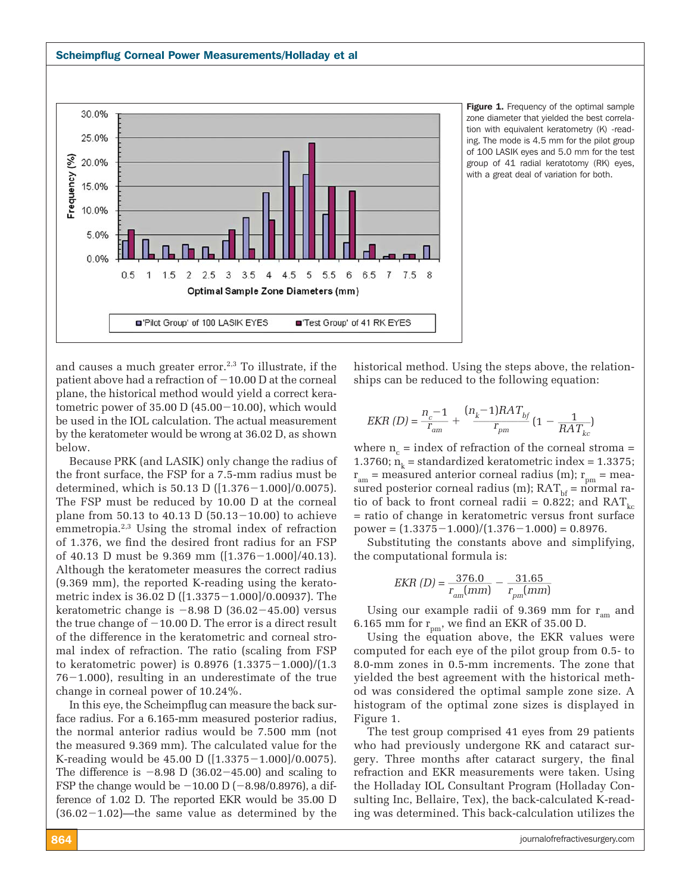

Figure 1. Frequency of the optimal sample zone diameter that yielded the best correlation with equivalent keratometry (K) -reading. The mode is 4.5 mm for the pilot group of 100 LASIK eyes and 5.0 mm for the test group of 41 radial keratotomy (RK) eyes, with a great deal of variation for both.

and causes a much greater error.<sup>2,3</sup> To illustrate, if the patient above had a refraction of  $-10.00$  D at the corneal plane, the historical method would yield a correct keratometric power of  $35.00 D(45.00-10.00)$ , which would be used in the IOL calculation. The actual measurement by the keratometer would be wrong at 36.02 D, as shown below.

Because PRK (and LASIK) only change the radius of the front surface, the FSP for a 7.5-mm radius must be determined, which is  $50.13 \text{ D } ([1.376-1.000]/0.0075)$ . The FSP must be reduced by 10.00 D at the corneal plane from 50.13 to 40.13 D (50.13-10.00) to achieve emmetropia.2,3 Using the stromal index of refraction of 1.376, we find the desired front radius for an FSP of 40.13 D must be 9.369 mm  $(1.376-1.000)/40.13$ . Although the keratometer measures the correct radius (9.369 mm), the reported K-reading using the keratometric index is  $36.02 D(1.3375 - 1.000)/0.00937$ . The keratometric change is  $-8.98$  D (36.02 $-45.00$ ) versus the true change of  $-10.00$  D. The error is a direct result of the difference in the keratometric and corneal stromal index of refraction. The ratio (scaling from FSP to keratometric power) is  $0.8976$   $(1.3375-1.000)/(1.3)$  $76-1.000$ , resulting in an underestimate of the true change in corneal power of 10.24%.

In this eye, the Scheimpflug can measure the back surface radius. For a 6.165-mm measured posterior radius, the normal anterior radius would be 7.500 mm (not the measured 9.369 mm). The calculated value for the K-reading would be  $45.00 \text{ D } ([1.3375-1.000]/0.0075)$ . The difference is  $-8.98$  D (36.02 $-45.00$ ) and scaling to FSP the change would be  $-10.00$  D ( $-8.98/0.8976$ ), a difference of 1.02 D. The reported EKR would be 35.00 D  $(36.02-1.02)$ —the same value as determined by the historical method. Using the steps above, the relationships can be reduced to the following equation:

$$
EKR(D) = \frac{n_c - 1}{r_{am}} + \frac{(n_k - 1)RAT_{bf}}{r_{pm}} (1 - \frac{1}{RAT_{kc}})
$$

where  $n_c$  = index of refraction of the corneal stroma = 1.3760;  $n_k$  = standardized keratometric index = 1.3375;  $\rm r_{\rm am}$  = measured anterior corneal radius (m);  $\rm r_{\rm pm}$  = measured posterior corneal radius (m);  $RAT_{bf} = \text{normal ra-}$ tio of back to front corneal radii = 0.822; and  $RAT_{kc}$ = ratio of change in keratometric versus front surface power =  $(1.3375-1.000)/(1.376-1.000) = 0.8976$ .

Substituting the constants above and simplifying, the computational formula is:

$$
EKR(D) = \frac{376.0}{r_{am}(mm)} - \frac{31.65}{r_{pm}(mm)}
$$

Using our example radii of 9.369 mm for  $r_{\text{am}}$  and 6.165 mm for  $\rm r_{\rm pm}$ , we find an EKR of 35.00 D.

Using the equation above, the EKR values were computed for each eye of the pilot group from 0.5- to 8.0-mm zones in 0.5-mm increments. The zone that yielded the best agreement with the historical method was considered the optimal sample zone size. A histogram of the optimal zone sizes is displayed in Figure 1.

The test group comprised 41 eyes from 29 patients who had previously undergone RK and cataract surgery. Three months after cataract surgery, the final refraction and EKR measurements were taken. Using the Holladay IOL Consultant Program (Holladay Consulting Inc, Bellaire, Tex), the back-calculated K-reading was determined. This back-calculation utilizes the

# Scheimpflug Corneal Power Measurements/Holladay et al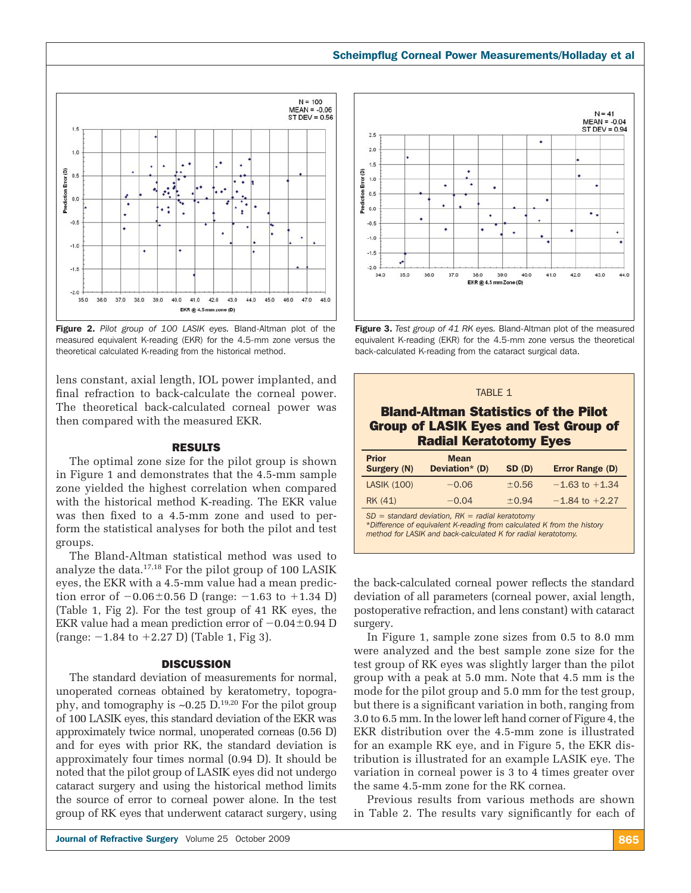

Figure 2. *Pilot group of 100 LASIK eyes.* Bland-Altman plot of the measured equivalent K-reading (EKR) for the 4.5-mm zone versus the theoretical calculated K-reading from the historical method.

lens constant, axial length, IOL power implanted, and final refraction to back-calculate the corneal power. The theoretical back-calculated corneal power was then compared with the measured EKR.

### RESULTS

The optimal zone size for the pilot group is shown in Figure 1 and demonstrates that the 4.5-mm sample zone yielded the highest correlation when compared with the historical method K-reading. The EKR value was then fixed to a 4.5-mm zone and used to perform the statistical analyses for both the pilot and test groups.

The Bland-Altman statistical method was used to analyze the data.17,18 For the pilot group of 100 LASIK eyes, the EKR with a 4.5-mm value had a mean prediction error of  $-0.06 \pm 0.56$  D (range:  $-1.63$  to  $+1.34$  D) (Table 1, Fig 2). For the test group of 41 RK eyes, the EKR value had a mean prediction error of  $-0.04\pm0.94$  D  $(range: -1.84$  to  $+2.27$  D) (Table 1, Fig 3).

# **DISCUSSION**

The standard deviation of measurements for normal, unoperated corneas obtained by keratometry, topography, and tomography is  $\sim 0.25$  D.<sup>19,20</sup> For the pilot group of 100 LASIK eyes, this standard deviation of the EKR was approximately twice normal, unoperated corneas (0.56 D) and for eyes with prior RK, the standard deviation is approximately four times normal (0.94 D). It should be noted that the pilot group of LASIK eyes did not undergo cataract surgery and using the historical method limits the source of error to corneal power alone. In the test group of RK eyes that underwent cataract surgery, using



Figure 3. *Test group of 41 RK eyes.* Bland-Altman plot of the measured equivalent K-reading (EKR) for the 4.5-mm zone versus the theoretical back-calculated K-reading from the cataract surgical data.

#### TABLE 1

# Bland-Altman Statistics of the Pilot Group of LASIK Eyes and Test Group of Radial Keratotomy Eyes

| <b>Prior</b><br>Surgery (N)                                                                                                 | <b>Mean</b><br>Deviation* (D) | $SD$ (D)   | Error Range (D)    |  |  |  |
|-----------------------------------------------------------------------------------------------------------------------------|-------------------------------|------------|--------------------|--|--|--|
| <b>LASIK (100)</b>                                                                                                          | $-0.06$                       | $\pm 0.56$ | $-1.63$ to $+1.34$ |  |  |  |
| RK (41)                                                                                                                     | $-0.04$                       | $\pm 0.94$ | $-1.84$ to $+2.27$ |  |  |  |
| $SD = standard deviation, RK = radial keratotomy$<br>*Difference of equivalent K-reading from calculated K from the history |                               |            |                    |  |  |  |

\**Difference of equivalent K-reading from calculated K from the history method for LASIK and back-calculated K for radial keratotomy.*

the back-calculated corneal power reflects the standard deviation of all parameters (corneal power, axial length, postoperative refraction, and lens constant) with cataract surgery.

In Figure 1, sample zone sizes from 0.5 to 8.0 mm were analyzed and the best sample zone size for the test group of RK eyes was slightly larger than the pilot group with a peak at 5.0 mm. Note that 4.5 mm is the mode for the pilot group and 5.0 mm for the test group, but there is a significant variation in both, ranging from 3.0 to 6.5 mm. In the lower left hand corner of Figure 4, the EKR distribution over the 4.5-mm zone is illustrated for an example RK eye, and in Figure 5, the EKR distribution is illustrated for an example LASIK eye. The variation in corneal power is 3 to 4 times greater over the same 4.5-mm zone for the RK cornea.

Previous results from various methods are shown in Table 2. The results vary significantly for each of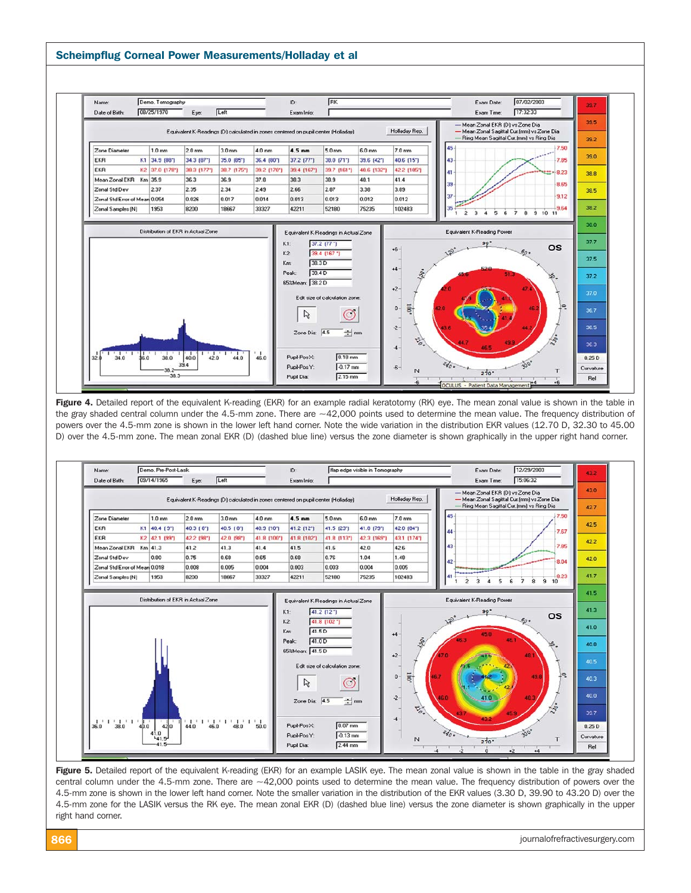![](_page_4_Figure_0.jpeg)

![](_page_4_Figure_1.jpeg)

Figure 4. Detailed report of the equivalent K-reading (EKR) for an example radial keratotomy (RK) eye. The mean zonal value is shown in the table in the gray shaded central column under the 4.5-mm zone. There are  $\sim$ 42,000 points used to determine the mean value. The frequency distribution of powers over the 4.5-mm zone is shown in the lower left hand corner. Note the wide variation in the distribution EKR values (12.70 D, 32.30 to 45.00 D) over the 4.5-mm zone. The mean zonal EKR (D) (dashed blue line) versus the zone diameter is shown graphically in the upper right hand corner.

![](_page_4_Figure_3.jpeg)

Figure 5. Detailed report of the equivalent K-reading (EKR) for an example LASIK eye. The mean zonal value is shown in the table in the gray shaded central column under the 4.5-mm zone. There are  $\sim$ 42,000 points used to determine the mean value. The frequency distribution of powers over the 4.5-mm zone is shown in the lower left hand corner. Note the smaller variation in the distribution of the EKR values (3.30 D, 39.90 to 43.20 D) over the 4.5-mm zone for the LASIK versus the RK eye. The mean zonal EKR (D) (dashed blue line) versus the zone diameter is shown graphically in the upper right hand corner.

**866 in the set of the set of the set of the set of the set of the set of the set of the set of the set of the set of the set of the set of the set of the set of the set of the set of the set of the set of the set of the**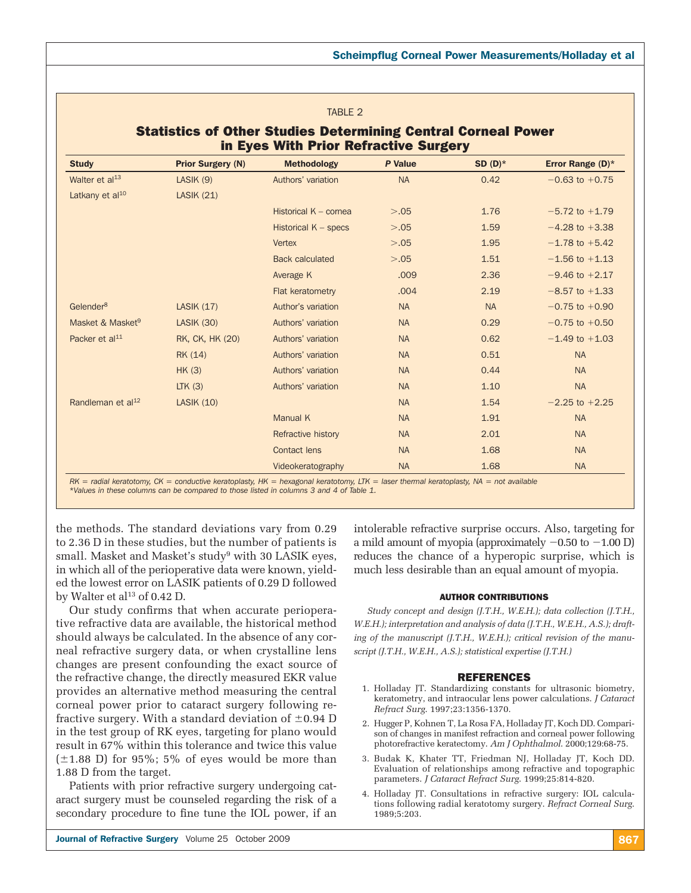## TABLE 2

# Statistics of Other Studies Determining Central Corneal Power in Eyes With Prior Refractive Surgery

| <b>Study</b>                  | <b>Prior Surgery (N)</b> | <b>Methodology</b>     | P Value   | SD $(D)^*$ | Error Range (D)*   |
|-------------------------------|--------------------------|------------------------|-----------|------------|--------------------|
| Walter et al <sup>13</sup>    | LASIK(9)                 | Authors' variation     | <b>NA</b> | 0.42       | $-0.63$ to $+0.75$ |
| Latkany et al <sup>10</sup>   | <b>LASIK (21)</b>        |                        |           |            |                    |
|                               |                          | Historical K - cornea  | > .05     | 1.76       | $-5.72$ to $+1.79$ |
|                               |                          | Historical K - specs   | > .05     | 1.59       | $-4.28$ to $+3.38$ |
|                               |                          | <b>Vertex</b>          | > .05     | 1.95       | $-1.78$ to $+5.42$ |
|                               |                          | <b>Back calculated</b> | > .05     | 1.51       | $-1.56$ to $+1.13$ |
|                               |                          | Average K              | .009      | 2.36       | $-9.46$ to $+2.17$ |
|                               |                          | Flat keratometry       | .004      | 2.19       | $-8.57$ to $+1.33$ |
| Gelender <sup>8</sup>         | <b>LASIK (17)</b>        | Author's variation     | <b>NA</b> | <b>NA</b>  | $-0.75$ to $+0.90$ |
| Masket & Masket <sup>9</sup>  | <b>LASIK (30)</b>        | Authors' variation     | <b>NA</b> | 0.29       | $-0.75$ to $+0.50$ |
| Packer et al <sup>11</sup>    | RK, CK, HK (20)          | Authors' variation     | <b>NA</b> | 0.62       | $-1.49$ to $+1.03$ |
|                               | RK (14)                  | Authors' variation     | <b>NA</b> | 0.51       | <b>NA</b>          |
|                               | HK(3)                    | Authors' variation     | <b>NA</b> | 0.44       | <b>NA</b>          |
|                               | LTK(3)                   | Authors' variation     | <b>NA</b> | 1.10       | <b>NA</b>          |
| Randleman et al <sup>12</sup> | <b>LASIK (10)</b>        |                        | <b>NA</b> | 1.54       | $-2.25$ to $+2.25$ |
|                               |                          | Manual K               | <b>NA</b> | 1.91       | <b>NA</b>          |
|                               |                          | Refractive history     | <b>NA</b> | 2.01       | <b>NA</b>          |
|                               |                          | <b>Contact lens</b>    | <b>NA</b> | 1.68       | <b>NA</b>          |
|                               |                          | Videokeratography      | <b>NA</b> | 1.68       | <b>NA</b>          |

*RK = radial keratotomy, CK = conductive keratoplasty, HK = hexagonal keratotomy, LTK = laser thermal keratoplasty, NA = not available* \**Values in these columns can be compared to those listed in columns 3 and 4 of Table 1.*

the methods. The standard deviations vary from 0.29 to 2.36 D in these studies, but the number of patients is small. Masket and Masket's study<sup>9</sup> with 30 LASIK eyes, in which all of the perioperative data were known, yielded the lowest error on LASIK patients of 0.29 D followed by Walter et al<sup>13</sup> of 0.42 D.

Our study confirms that when accurate perioperative refractive data are available, the historical method should always be calculated. In the absence of any corneal refractive surgery data, or when crystalline lens changes are present confounding the exact source of the refractive change, the directly measured EKR value provides an alternative method measuring the central corneal power prior to cataract surgery following refractive surgery. With a standard deviation of  $\pm$ 0.94 D in the test group of RK eyes, targeting for plano would result in 67% within this tolerance and twice this value  $(\pm 1.88 \text{ D})$  for 95%; 5% of eyes would be more than 1.88 D from the target.

Patients with prior refractive surgery undergoing cataract surgery must be counseled regarding the risk of a secondary procedure to fine tune the IOL power, if an intolerable refractive surprise occurs. Also, targeting for a mild amount of myopia (approximately  $-0.50$  to  $-1.00$  D) reduces the chance of a hyperopic surprise, which is much less desirable than an equal amount of myopia.

# AUTHOR CONTRIBUTIONS

*Study concept and design (J.T.H., W.E.H.); data collection (J.T.H., W.E.H.); interpretation and analysis of data (J.T.H., W.E.H., A.S.); drafting of the manuscript (J.T.H., W.E.H.); critical revision of the manuscript (J.T.H., W.E.H., A.S.); statistical expertise (J.T.H.)*

# REFERENCES

- 1. Holladay JT. Standardizing constants for ultrasonic biometry, keratometry, and intraocular lens power calculations. *J Cataract Refract Surg*. 1997;23:1356-1370.
- 2. Hugger P, Kohnen T, La Rosa FA, Holladay JT, Koch DD. Comparison of changes in manifest refraction and corneal power following photorefractive keratectomy. *Am J Ophthalmol*. 2000;129:68-75.
- 3. Budak K, Khater TT, Friedman NJ, Holladay JT, Koch DD. Evaluation of relationships among refractive and topographic parameters. *J Cataract Refract Surg*. 1999;25:814-820.
- 4. Holladay JT. Consultations in refractive surgery: IOL calculations following radial keratotomy surgery. *Refract Corneal Surg*. 1989;5:203.